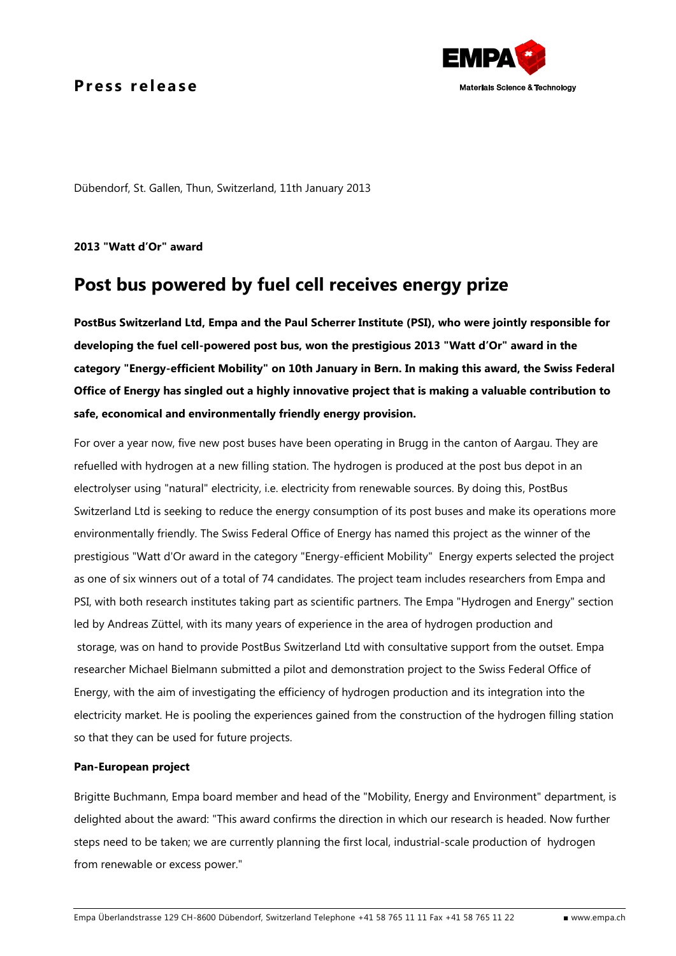## Press release



Dübendorf, St. Gallen, Thun, Switzerland, 11th January 2013

**2013 "Watt d'Or" award**

# **Post bus powered by fuel cell receives energy prize**

**PostBus Switzerland Ltd, Empa and the Paul Scherrer Institute (PSI), who were jointly responsible for developing the fuel cell-powered post bus, won the prestigious 2013 "Watt d'Or" award in the category "Energy-efficient Mobility" on 10th January in Bern. In making this award, the Swiss Federal Office of Energy has singled out a highly innovative project that is making a valuable contribution to safe, economical and environmentally friendly energy provision.** 

For over a year now, five new post buses have been operating in Brugg in the canton of Aargau. They are refuelled with hydrogen at a new filling station. The hydrogen is produced at the post bus depot in an electrolyser using "natural" electricity, i.e. electricity from renewable sources. By doing this, PostBus Switzerland Ltd is seeking to reduce the energy consumption of its post buses and make its operations more environmentally friendly. The Swiss Federal Office of Energy has named this project as the winner of the prestigious "Watt d'Or award in the category "Energy-efficient Mobility" Energy experts selected the project as one of six winners out of a total of 74 candidates. The project team includes researchers from Empa and PSI, with both research institutes taking part as scientific partners. The Empa "Hydrogen and Energy" section led by Andreas Züttel, with its many years of experience in the area of hydrogen production and storage, was on hand to provide PostBus Switzerland Ltd with consultative support from the outset. Empa researcher Michael Bielmann submitted a pilot and demonstration project to the Swiss Federal Office of Energy, with the aim of investigating the efficiency of hydrogen production and its integration into the electricity market. He is pooling the experiences gained from the construction of the hydrogen filling station so that they can be used for future projects.

### **Pan-European project**

Brigitte Buchmann, Empa board member and head of the "Mobility, Energy and Environment" department, is delighted about the award: "This award confirms the direction in which our research is headed. Now further steps need to be taken; we are currently planning the first local, industrial-scale production of hydrogen from renewable or excess power."